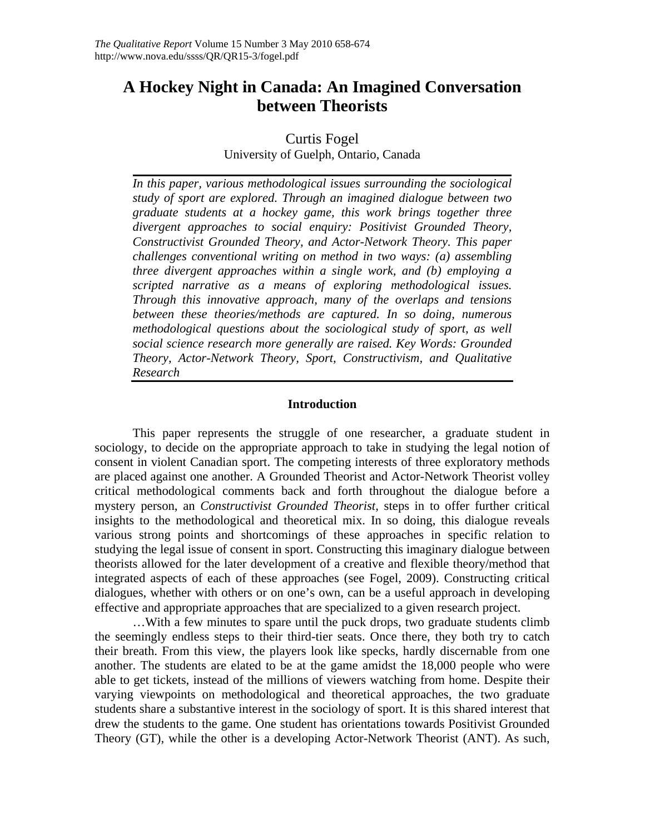# **A Hockey Night in Canada: An Imagined Conversation between Theorists**

Curtis Fogel

University of Guelph, Ontario, Canada

*In this paper, various methodological issues surrounding the sociological study of sport are explored. Through an imagined dialogue between two graduate students at a hockey game, this work brings together three divergent approaches to social enquiry: Positivist Grounded Theory, Constructivist Grounded Theory, and Actor-Network Theory. This paper challenges conventional writing on method in two ways: (a) assembling three divergent approaches within a single work, and (b) employing a scripted narrative as a means of exploring methodological issues. Through this innovative approach, many of the overlaps and tensions between these theories/methods are captured. In so doing, numerous methodological questions about the sociological study of sport, as well social science research more generally are raised. Key Words: Grounded Theory, Actor-Network Theory, Sport, Constructivism, and Qualitative Research* 

## **Introduction**

This paper represents the struggle of one researcher, a graduate student in sociology, to decide on the appropriate approach to take in studying the legal notion of consent in violent Canadian sport. The competing interests of three exploratory methods are placed against one another. A Grounded Theorist and Actor-Network Theorist volley critical methodological comments back and forth throughout the dialogue before a mystery person, an *Constructivist Grounded Theorist*, steps in to offer further critical insights to the methodological and theoretical mix. In so doing, this dialogue reveals various strong points and shortcomings of these approaches in specific relation to studying the legal issue of consent in sport. Constructing this imaginary dialogue between theorists allowed for the later development of a creative and flexible theory/method that integrated aspects of each of these approaches (see Fogel, 2009). Constructing critical dialogues, whether with others or on one's own, can be a useful approach in developing effective and appropriate approaches that are specialized to a given research project.

…With a few minutes to spare until the puck drops, two graduate students climb the seemingly endless steps to their third-tier seats. Once there, they both try to catch their breath. From this view, the players look like specks, hardly discernable from one another. The students are elated to be at the game amidst the 18,000 people who were able to get tickets, instead of the millions of viewers watching from home. Despite their varying viewpoints on methodological and theoretical approaches, the two graduate students share a substantive interest in the sociology of sport. It is this shared interest that drew the students to the game. One student has orientations towards Positivist Grounded Theory (GT), while the other is a developing Actor-Network Theorist (ANT). As such,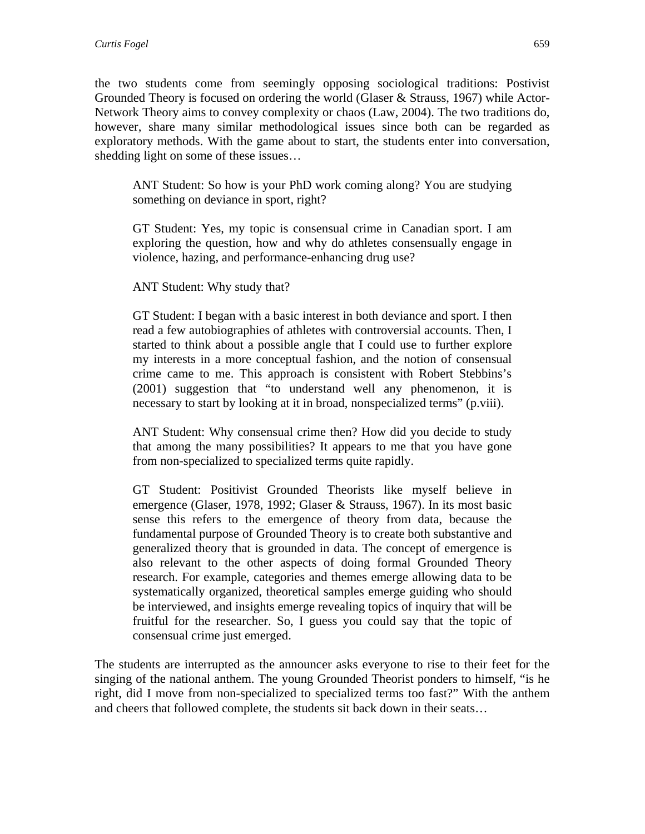the two students come from seemingly opposing sociological traditions: Postivist Grounded Theory is focused on ordering the world (Glaser & Strauss, 1967) while Actor-Network Theory aims to convey complexity or chaos (Law, 2004). The two traditions do, however, share many similar methodological issues since both can be regarded as exploratory methods. With the game about to start, the students enter into conversation, shedding light on some of these issues…

ANT Student: So how is your PhD work coming along? You are studying something on deviance in sport, right?

GT Student: Yes, my topic is consensual crime in Canadian sport. I am exploring the question, how and why do athletes consensually engage in violence, hazing, and performance-enhancing drug use?

ANT Student: Why study that?

GT Student: I began with a basic interest in both deviance and sport. I then read a few autobiographies of athletes with controversial accounts. Then, I started to think about a possible angle that I could use to further explore my interests in a more conceptual fashion, and the notion of consensual crime came to me. This approach is consistent with Robert Stebbins's (2001) suggestion that "to understand well any phenomenon, it is necessary to start by looking at it in broad, nonspecialized terms" (p.viii).

ANT Student: Why consensual crime then? How did you decide to study that among the many possibilities? It appears to me that you have gone from non-specialized to specialized terms quite rapidly.

GT Student: Positivist Grounded Theorists like myself believe in emergence (Glaser, 1978, 1992; Glaser & Strauss, 1967). In its most basic sense this refers to the emergence of theory from data, because the fundamental purpose of Grounded Theory is to create both substantive and generalized theory that is grounded in data. The concept of emergence is also relevant to the other aspects of doing formal Grounded Theory research. For example, categories and themes emerge allowing data to be systematically organized, theoretical samples emerge guiding who should be interviewed, and insights emerge revealing topics of inquiry that will be fruitful for the researcher. So, I guess you could say that the topic of consensual crime just emerged.

The students are interrupted as the announcer asks everyone to rise to their feet for the singing of the national anthem. The young Grounded Theorist ponders to himself, "is he right, did I move from non-specialized to specialized terms too fast?" With the anthem and cheers that followed complete, the students sit back down in their seats…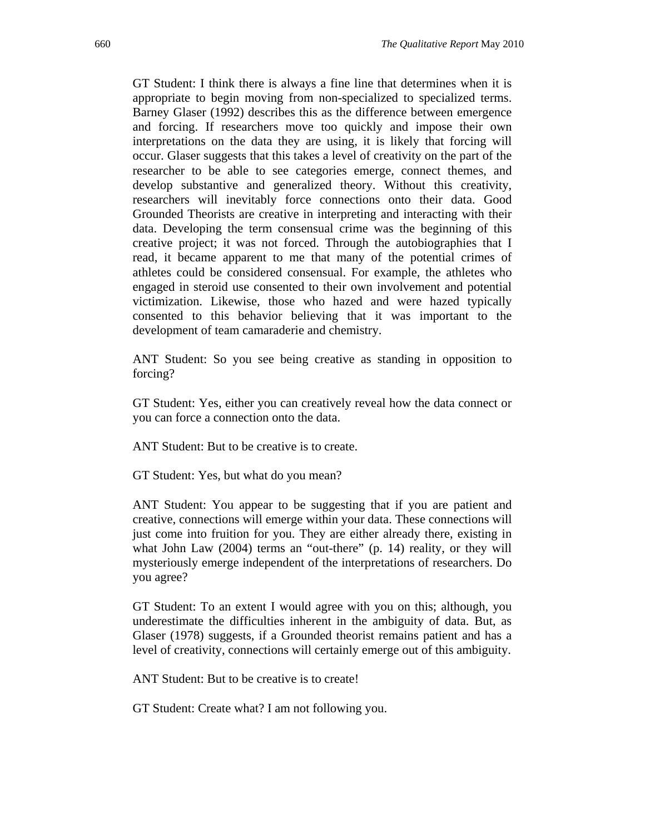GT Student: I think there is always a fine line that determines when it is appropriate to begin moving from non-specialized to specialized terms. Barney Glaser (1992) describes this as the difference between emergence and forcing. If researchers move too quickly and impose their own interpretations on the data they are using, it is likely that forcing will occur. Glaser suggests that this takes a level of creativity on the part of the researcher to be able to see categories emerge, connect themes, and develop substantive and generalized theory. Without this creativity, researchers will inevitably force connections onto their data. Good Grounded Theorists are creative in interpreting and interacting with their data. Developing the term consensual crime was the beginning of this creative project; it was not forced. Through the autobiographies that I read, it became apparent to me that many of the potential crimes of athletes could be considered consensual. For example, the athletes who engaged in steroid use consented to their own involvement and potential victimization. Likewise, those who hazed and were hazed typically consented to this behavior believing that it was important to the development of team camaraderie and chemistry.

ANT Student: So you see being creative as standing in opposition to forcing?

GT Student: Yes, either you can creatively reveal how the data connect or you can force a connection onto the data.

ANT Student: But to be creative is to create.

GT Student: Yes, but what do you mean?

ANT Student: You appear to be suggesting that if you are patient and creative, connections will emerge within your data. These connections will just come into fruition for you. They are either already there, existing in what John Law (2004) terms an "out-there" (p. 14) reality, or they will mysteriously emerge independent of the interpretations of researchers. Do you agree?

GT Student: To an extent I would agree with you on this; although, you underestimate the difficulties inherent in the ambiguity of data. But, as Glaser (1978) suggests, if a Grounded theorist remains patient and has a level of creativity, connections will certainly emerge out of this ambiguity.

ANT Student: But to be creative is to create!

GT Student: Create what? I am not following you.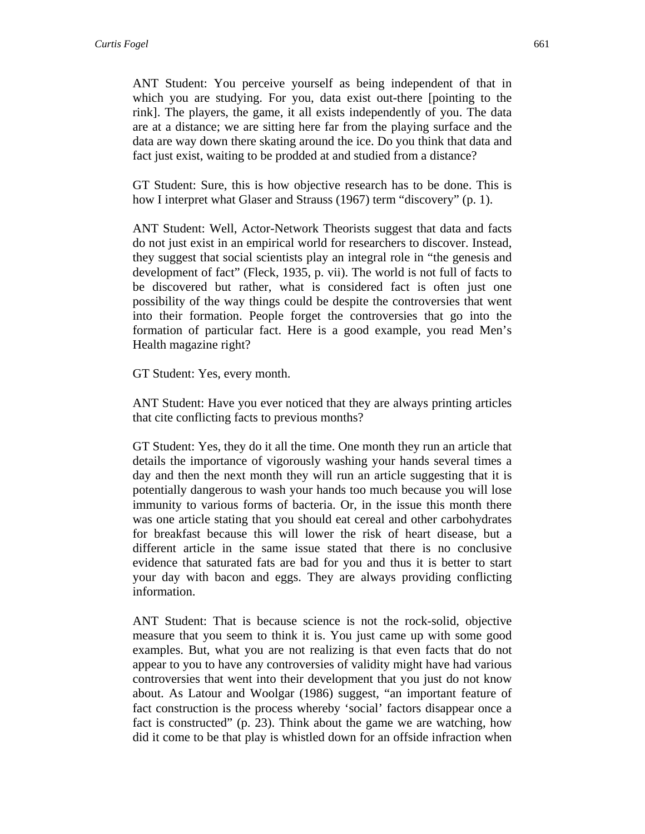ANT Student: You perceive yourself as being independent of that in which you are studying. For you, data exist out-there [pointing to the rink]. The players, the game, it all exists independently of you. The data are at a distance; we are sitting here far from the playing surface and the data are way down there skating around the ice. Do you think that data and fact just exist, waiting to be prodded at and studied from a distance?

GT Student: Sure, this is how objective research has to be done. This is how I interpret what Glaser and Strauss (1967) term "discovery" (p. 1).

ANT Student: Well, Actor-Network Theorists suggest that data and facts do not just exist in an empirical world for researchers to discover. Instead, they suggest that social scientists play an integral role in "the genesis and development of fact" (Fleck, 1935, p. vii). The world is not full of facts to be discovered but rather, what is considered fact is often just one possibility of the way things could be despite the controversies that went into their formation. People forget the controversies that go into the formation of particular fact. Here is a good example, you read Men's Health magazine right?

GT Student: Yes, every month.

ANT Student: Have you ever noticed that they are always printing articles that cite conflicting facts to previous months?

GT Student: Yes, they do it all the time. One month they run an article that details the importance of vigorously washing your hands several times a day and then the next month they will run an article suggesting that it is potentially dangerous to wash your hands too much because you will lose immunity to various forms of bacteria. Or, in the issue this month there was one article stating that you should eat cereal and other carbohydrates for breakfast because this will lower the risk of heart disease, but a different article in the same issue stated that there is no conclusive evidence that saturated fats are bad for you and thus it is better to start your day with bacon and eggs. They are always providing conflicting information.

ANT Student: That is because science is not the rock-solid, objective measure that you seem to think it is. You just came up with some good examples. But, what you are not realizing is that even facts that do not appear to you to have any controversies of validity might have had various controversies that went into their development that you just do not know about. As Latour and Woolgar (1986) suggest, "an important feature of fact construction is the process whereby 'social' factors disappear once a fact is constructed" (p. 23). Think about the game we are watching, how did it come to be that play is whistled down for an offside infraction when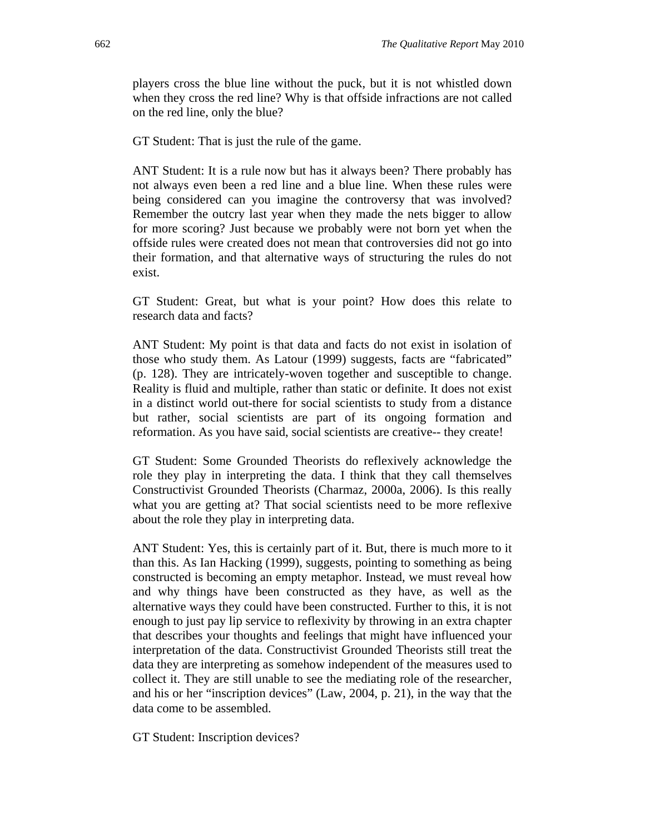players cross the blue line without the puck, but it is not whistled down when they cross the red line? Why is that offside infractions are not called on the red line, only the blue?

GT Student: That is just the rule of the game.

ANT Student: It is a rule now but has it always been? There probably has not always even been a red line and a blue line. When these rules were being considered can you imagine the controversy that was involved? Remember the outcry last year when they made the nets bigger to allow for more scoring? Just because we probably were not born yet when the offside rules were created does not mean that controversies did not go into their formation, and that alternative ways of structuring the rules do not exist.

GT Student: Great, but what is your point? How does this relate to research data and facts?

ANT Student: My point is that data and facts do not exist in isolation of those who study them. As Latour (1999) suggests, facts are "fabricated" (p. 128). They are intricately-woven together and susceptible to change. Reality is fluid and multiple, rather than static or definite. It does not exist in a distinct world out-there for social scientists to study from a distance but rather, social scientists are part of its ongoing formation and reformation. As you have said, social scientists are creative-- they create!

GT Student: Some Grounded Theorists do reflexively acknowledge the role they play in interpreting the data. I think that they call themselves Constructivist Grounded Theorists (Charmaz, 2000a, 2006). Is this really what you are getting at? That social scientists need to be more reflexive about the role they play in interpreting data.

ANT Student: Yes, this is certainly part of it. But, there is much more to it than this. As Ian Hacking (1999), suggests, pointing to something as being constructed is becoming an empty metaphor. Instead, we must reveal how and why things have been constructed as they have, as well as the alternative ways they could have been constructed. Further to this, it is not enough to just pay lip service to reflexivity by throwing in an extra chapter that describes your thoughts and feelings that might have influenced your interpretation of the data. Constructivist Grounded Theorists still treat the data they are interpreting as somehow independent of the measures used to collect it. They are still unable to see the mediating role of the researcher, and his or her "inscription devices" (Law, 2004, p. 21), in the way that the data come to be assembled.

GT Student: Inscription devices?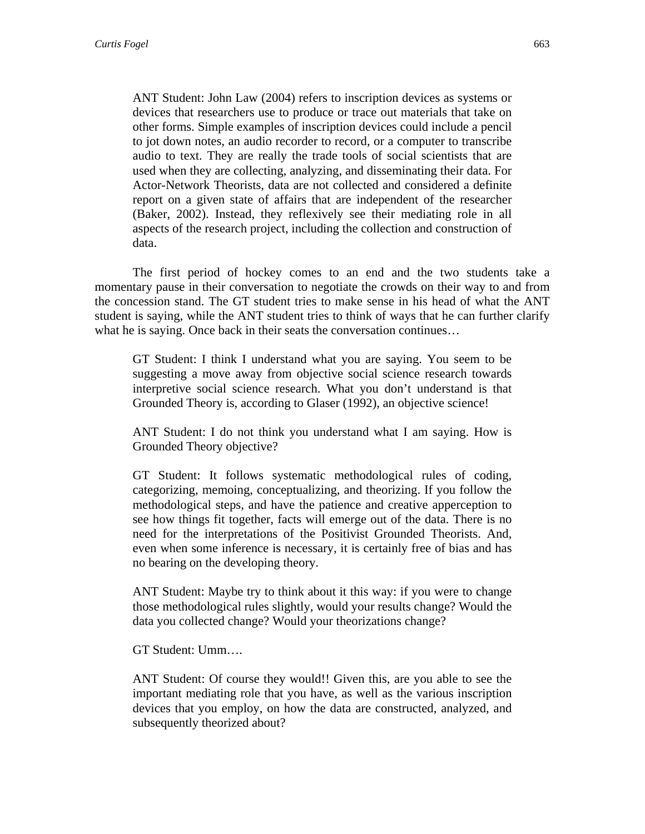ANT Student: John Law (2004) refers to inscription devices as systems or devices that researchers use to produce or trace out materials that take on other forms. Simple examples of inscription devices could include a pencil to jot down notes, an audio recorder to record, or a computer to transcribe audio to text. They are really the trade tools of social scientists that are used when they are collecting, analyzing, and disseminating their data. For Actor-Network Theorists, data are not collected and considered a definite report on a given state of affairs that are independent of the researcher (Baker, 2002). Instead, they reflexively see their mediating role in all aspects of the research project, including the collection and construction of data.

The first period of hockey comes to an end and the two students take a momentary pause in their conversation to negotiate the crowds on their way to and from the concession stand. The GT student tries to make sense in his head of what the ANT student is saying, while the ANT student tries to think of ways that he can further clarify what he is saying. Once back in their seats the conversation continues…

GT Student: I think I understand what you are saying. You seem to be suggesting a move away from objective social science research towards interpretive social science research. What you don't understand is that Grounded Theory is, according to Glaser (1992), an objective science!

ANT Student: I do not think you understand what I am saying. How is Grounded Theory objective?

GT Student: It follows systematic methodological rules of coding, categorizing, memoing, conceptualizing, and theorizing. If you follow the methodological steps, and have the patience and creative apperception to see how things fit together, facts will emerge out of the data. There is no need for the interpretations of the Positivist Grounded Theorists. And, even when some inference is necessary, it is certainly free of bias and has no bearing on the developing theory.

ANT Student: Maybe try to think about it this way: if you were to change those methodological rules slightly, would your results change? Would the data you collected change? Would your theorizations change?

GT Student: Umm….

ANT Student: Of course they would!! Given this, are you able to see the important mediating role that you have, as well as the various inscription devices that you employ, on how the data are constructed, analyzed, and subsequently theorized about?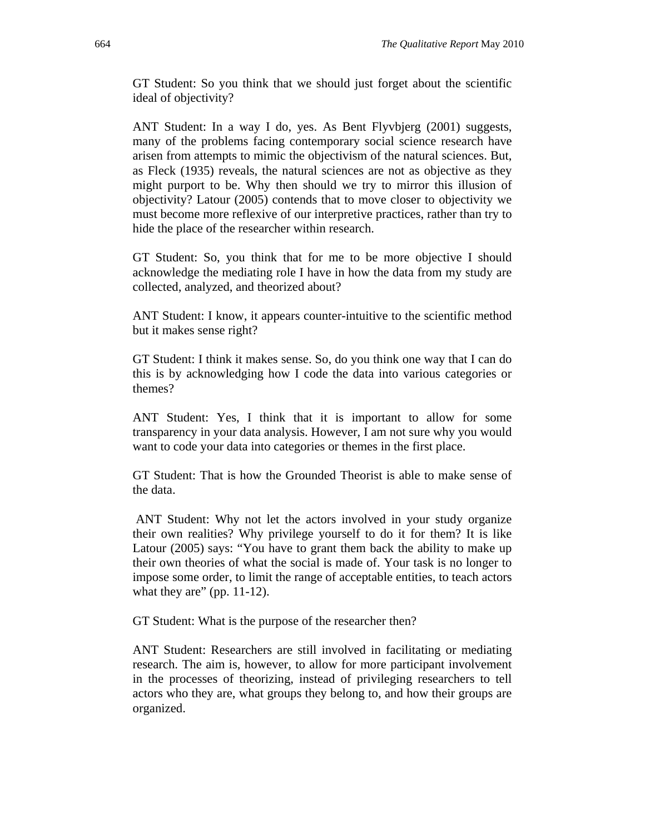GT Student: So you think that we should just forget about the scientific ideal of objectivity?

ANT Student: In a way I do, yes. As Bent Flyvbjerg (2001) suggests, many of the problems facing contemporary social science research have arisen from attempts to mimic the objectivism of the natural sciences. But, as Fleck (1935) reveals, the natural sciences are not as objective as they might purport to be. Why then should we try to mirror this illusion of objectivity? Latour (2005) contends that to move closer to objectivity we must become more reflexive of our interpretive practices, rather than try to hide the place of the researcher within research.

GT Student: So, you think that for me to be more objective I should acknowledge the mediating role I have in how the data from my study are collected, analyzed, and theorized about?

ANT Student: I know, it appears counter-intuitive to the scientific method but it makes sense right?

GT Student: I think it makes sense. So, do you think one way that I can do this is by acknowledging how I code the data into various categories or themes?

ANT Student: Yes, I think that it is important to allow for some transparency in your data analysis. However, I am not sure why you would want to code your data into categories or themes in the first place.

GT Student: That is how the Grounded Theorist is able to make sense of the data.

 ANT Student: Why not let the actors involved in your study organize their own realities? Why privilege yourself to do it for them? It is like Latour (2005) says: "You have to grant them back the ability to make up their own theories of what the social is made of. Your task is no longer to impose some order, to limit the range of acceptable entities, to teach actors what they are" (pp. 11-12).

GT Student: What is the purpose of the researcher then?

ANT Student: Researchers are still involved in facilitating or mediating research. The aim is, however, to allow for more participant involvement in the processes of theorizing, instead of privileging researchers to tell actors who they are, what groups they belong to, and how their groups are organized.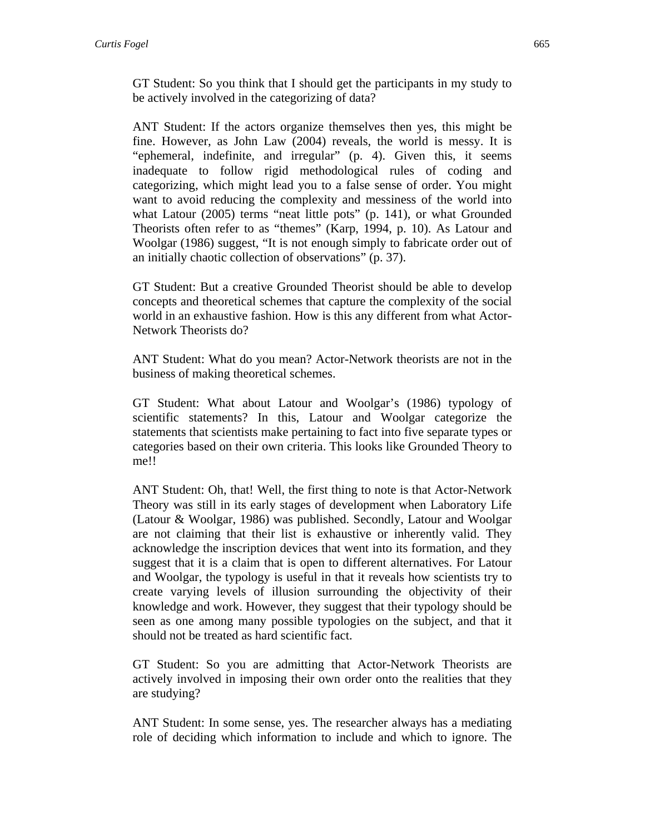GT Student: So you think that I should get the participants in my study to be actively involved in the categorizing of data?

ANT Student: If the actors organize themselves then yes, this might be fine. However, as John Law (2004) reveals, the world is messy. It is "ephemeral, indefinite, and irregular" (p. 4). Given this, it seems inadequate to follow rigid methodological rules of coding and categorizing, which might lead you to a false sense of order. You might want to avoid reducing the complexity and messiness of the world into what Latour (2005) terms "neat little pots" (p. 141), or what Grounded Theorists often refer to as "themes" (Karp, 1994, p. 10). As Latour and Woolgar (1986) suggest, "It is not enough simply to fabricate order out of an initially chaotic collection of observations" (p. 37).

GT Student: But a creative Grounded Theorist should be able to develop concepts and theoretical schemes that capture the complexity of the social world in an exhaustive fashion. How is this any different from what Actor-Network Theorists do?

ANT Student: What do you mean? Actor-Network theorists are not in the business of making theoretical schemes.

GT Student: What about Latour and Woolgar's (1986) typology of scientific statements? In this, Latour and Woolgar categorize the statements that scientists make pertaining to fact into five separate types or categories based on their own criteria. This looks like Grounded Theory to me!!

ANT Student: Oh, that! Well, the first thing to note is that Actor-Network Theory was still in its early stages of development when Laboratory Life (Latour & Woolgar, 1986) was published. Secondly, Latour and Woolgar are not claiming that their list is exhaustive or inherently valid. They acknowledge the inscription devices that went into its formation, and they suggest that it is a claim that is open to different alternatives. For Latour and Woolgar, the typology is useful in that it reveals how scientists try to create varying levels of illusion surrounding the objectivity of their knowledge and work. However, they suggest that their typology should be seen as one among many possible typologies on the subject, and that it should not be treated as hard scientific fact.

GT Student: So you are admitting that Actor-Network Theorists are actively involved in imposing their own order onto the realities that they are studying?

ANT Student: In some sense, yes. The researcher always has a mediating role of deciding which information to include and which to ignore. The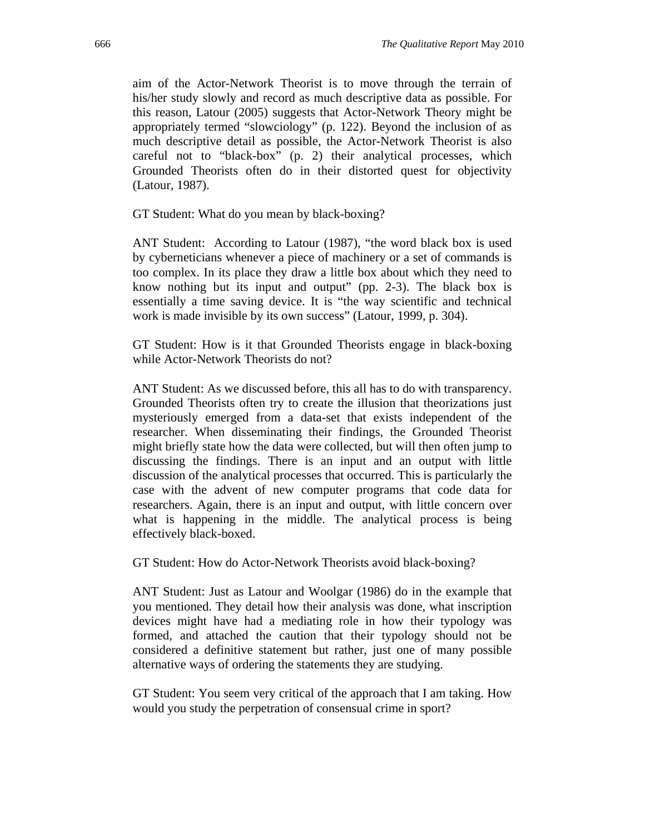aim of the Actor-Network Theorist is to move through the terrain of his/her study slowly and record as much descriptive data as possible. For this reason, Latour (2005) suggests that Actor-Network Theory might be appropriately termed "slowciology" (p. 122). Beyond the inclusion of as much descriptive detail as possible, the Actor-Network Theorist is also careful not to "black-box" (p. 2) their analytical processes, which Grounded Theorists often do in their distorted quest for objectivity (Latour, 1987).

GT Student: What do you mean by black-boxing?

ANT Student: According to Latour (1987), "the word black box is used by cyberneticians whenever a piece of machinery or a set of commands is too complex. In its place they draw a little box about which they need to know nothing but its input and output" (pp. 2-3). The black box is essentially a time saving device. It is "the way scientific and technical work is made invisible by its own success" (Latour, 1999, p. 304).

GT Student: How is it that Grounded Theorists engage in black-boxing while Actor-Network Theorists do not?

ANT Student: As we discussed before, this all has to do with transparency. Grounded Theorists often try to create the illusion that theorizations just mysteriously emerged from a data-set that exists independent of the researcher. When disseminating their findings, the Grounded Theorist might briefly state how the data were collected, but will then often jump to discussing the findings. There is an input and an output with little discussion of the analytical processes that occurred. This is particularly the case with the advent of new computer programs that code data for researchers. Again, there is an input and output, with little concern over what is happening in the middle. The analytical process is being effectively black-boxed.

GT Student: How do Actor-Network Theorists avoid black-boxing?

ANT Student: Just as Latour and Woolgar (1986) do in the example that you mentioned. They detail how their analysis was done, what inscription devices might have had a mediating role in how their typology was formed, and attached the caution that their typology should not be considered a definitive statement but rather, just one of many possible alternative ways of ordering the statements they are studying.

GT Student: You seem very critical of the approach that I am taking. How would you study the perpetration of consensual crime in sport?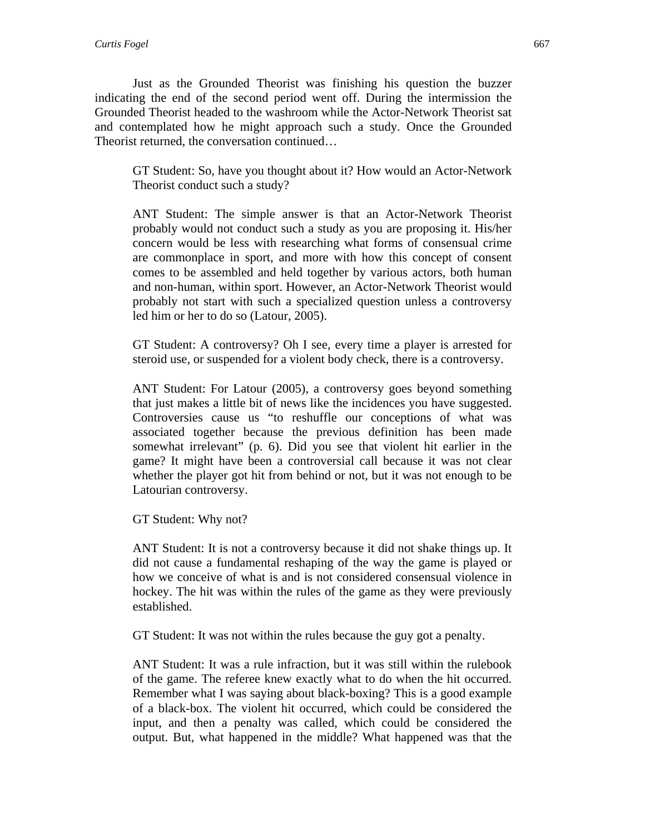Just as the Grounded Theorist was finishing his question the buzzer indicating the end of the second period went off. During the intermission the Grounded Theorist headed to the washroom while the Actor-Network Theorist sat and contemplated how he might approach such a study. Once the Grounded Theorist returned, the conversation continued…

GT Student: So, have you thought about it? How would an Actor-Network Theorist conduct such a study?

ANT Student: The simple answer is that an Actor-Network Theorist probably would not conduct such a study as you are proposing it. His/her concern would be less with researching what forms of consensual crime are commonplace in sport, and more with how this concept of consent comes to be assembled and held together by various actors, both human and non-human, within sport. However, an Actor-Network Theorist would probably not start with such a specialized question unless a controversy led him or her to do so (Latour, 2005).

GT Student: A controversy? Oh I see, every time a player is arrested for steroid use, or suspended for a violent body check, there is a controversy.

ANT Student: For Latour (2005), a controversy goes beyond something that just makes a little bit of news like the incidences you have suggested. Controversies cause us "to reshuffle our conceptions of what was associated together because the previous definition has been made somewhat irrelevant" (p. 6). Did you see that violent hit earlier in the game? It might have been a controversial call because it was not clear whether the player got hit from behind or not, but it was not enough to be Latourian controversy.

GT Student: Why not?

ANT Student: It is not a controversy because it did not shake things up. It did not cause a fundamental reshaping of the way the game is played or how we conceive of what is and is not considered consensual violence in hockey. The hit was within the rules of the game as they were previously established.

GT Student: It was not within the rules because the guy got a penalty.

ANT Student: It was a rule infraction, but it was still within the rulebook of the game. The referee knew exactly what to do when the hit occurred. Remember what I was saying about black-boxing? This is a good example of a black-box. The violent hit occurred, which could be considered the input, and then a penalty was called, which could be considered the output. But, what happened in the middle? What happened was that the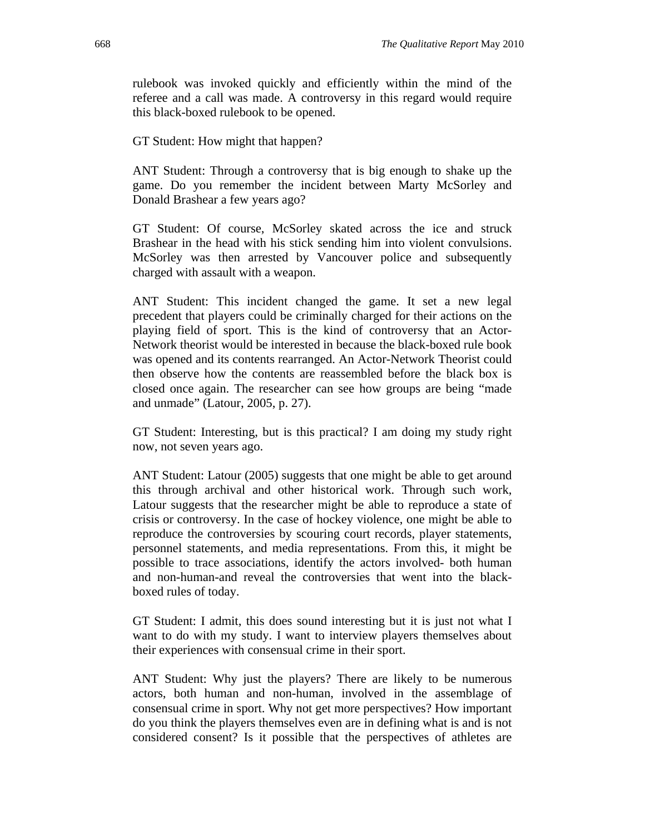rulebook was invoked quickly and efficiently within the mind of the referee and a call was made. A controversy in this regard would require this black-boxed rulebook to be opened.

GT Student: How might that happen?

ANT Student: Through a controversy that is big enough to shake up the game. Do you remember the incident between Marty McSorley and Donald Brashear a few years ago?

GT Student: Of course, McSorley skated across the ice and struck Brashear in the head with his stick sending him into violent convulsions. McSorley was then arrested by Vancouver police and subsequently charged with assault with a weapon.

ANT Student: This incident changed the game. It set a new legal precedent that players could be criminally charged for their actions on the playing field of sport. This is the kind of controversy that an Actor-Network theorist would be interested in because the black-boxed rule book was opened and its contents rearranged. An Actor-Network Theorist could then observe how the contents are reassembled before the black box is closed once again. The researcher can see how groups are being "made and unmade" (Latour, 2005, p. 27).

GT Student: Interesting, but is this practical? I am doing my study right now, not seven years ago.

ANT Student: Latour (2005) suggests that one might be able to get around this through archival and other historical work. Through such work, Latour suggests that the researcher might be able to reproduce a state of crisis or controversy. In the case of hockey violence, one might be able to reproduce the controversies by scouring court records, player statements, personnel statements, and media representations. From this, it might be possible to trace associations, identify the actors involved- both human and non-human-and reveal the controversies that went into the blackboxed rules of today.

GT Student: I admit, this does sound interesting but it is just not what I want to do with my study. I want to interview players themselves about their experiences with consensual crime in their sport.

ANT Student: Why just the players? There are likely to be numerous actors, both human and non-human, involved in the assemblage of consensual crime in sport. Why not get more perspectives? How important do you think the players themselves even are in defining what is and is not considered consent? Is it possible that the perspectives of athletes are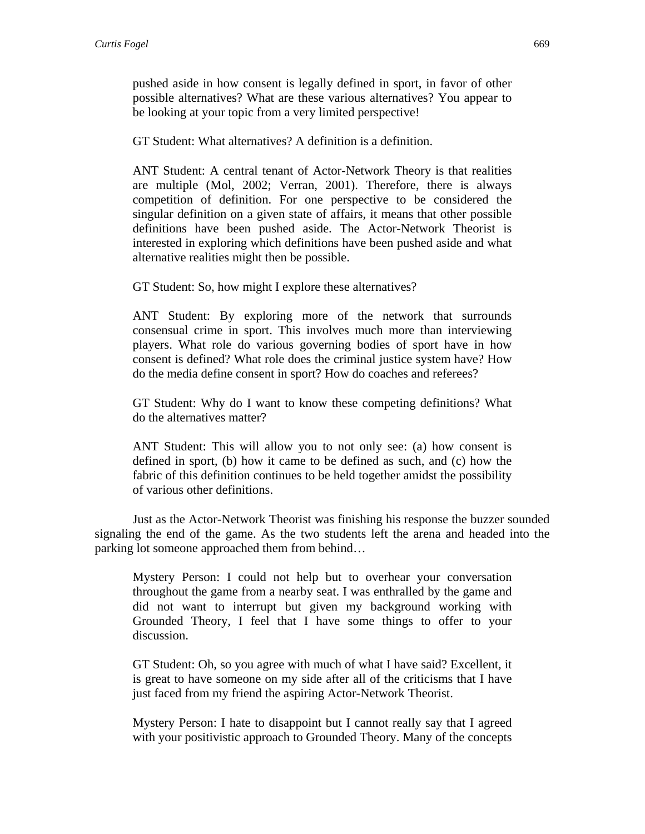pushed aside in how consent is legally defined in sport, in favor of other possible alternatives? What are these various alternatives? You appear to be looking at your topic from a very limited perspective!

GT Student: What alternatives? A definition is a definition.

ANT Student: A central tenant of Actor-Network Theory is that realities are multiple (Mol, 2002; Verran, 2001). Therefore, there is always competition of definition. For one perspective to be considered the singular definition on a given state of affairs, it means that other possible definitions have been pushed aside. The Actor-Network Theorist is interested in exploring which definitions have been pushed aside and what alternative realities might then be possible.

GT Student: So, how might I explore these alternatives?

ANT Student: By exploring more of the network that surrounds consensual crime in sport. This involves much more than interviewing players. What role do various governing bodies of sport have in how consent is defined? What role does the criminal justice system have? How do the media define consent in sport? How do coaches and referees?

GT Student: Why do I want to know these competing definitions? What do the alternatives matter?

ANT Student: This will allow you to not only see: (a) how consent is defined in sport, (b) how it came to be defined as such, and (c) how the fabric of this definition continues to be held together amidst the possibility of various other definitions.

Just as the Actor-Network Theorist was finishing his response the buzzer sounded signaling the end of the game. As the two students left the arena and headed into the parking lot someone approached them from behind…

Mystery Person: I could not help but to overhear your conversation throughout the game from a nearby seat. I was enthralled by the game and did not want to interrupt but given my background working with Grounded Theory, I feel that I have some things to offer to your discussion.

GT Student: Oh, so you agree with much of what I have said? Excellent, it is great to have someone on my side after all of the criticisms that I have just faced from my friend the aspiring Actor-Network Theorist.

Mystery Person: I hate to disappoint but I cannot really say that I agreed with your positivistic approach to Grounded Theory. Many of the concepts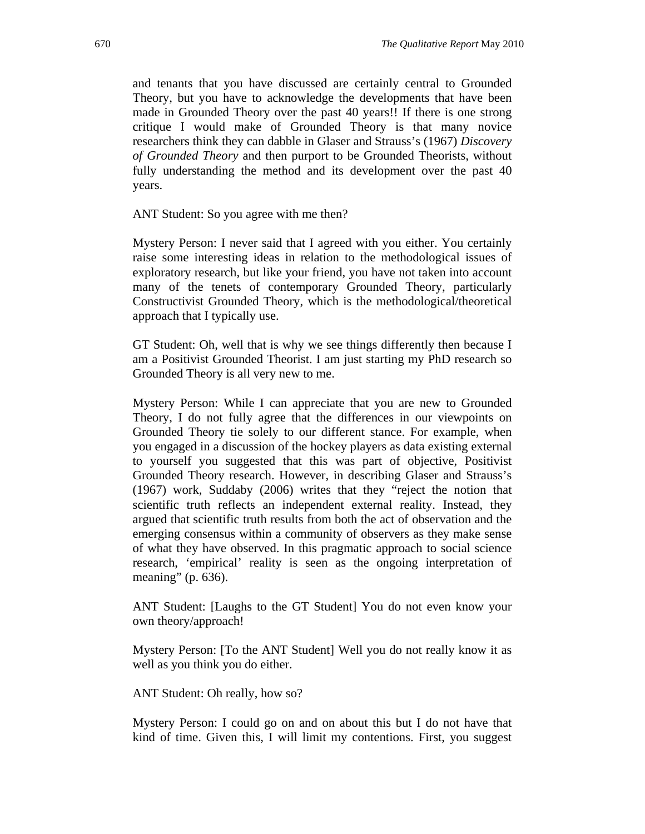and tenants that you have discussed are certainly central to Grounded Theory, but you have to acknowledge the developments that have been made in Grounded Theory over the past 40 years!! If there is one strong critique I would make of Grounded Theory is that many novice researchers think they can dabble in Glaser and Strauss's (1967) *Discovery of Grounded Theory* and then purport to be Grounded Theorists, without fully understanding the method and its development over the past 40 years.

ANT Student: So you agree with me then?

Mystery Person: I never said that I agreed with you either. You certainly raise some interesting ideas in relation to the methodological issues of exploratory research, but like your friend, you have not taken into account many of the tenets of contemporary Grounded Theory, particularly Constructivist Grounded Theory, which is the methodological/theoretical approach that I typically use.

GT Student: Oh, well that is why we see things differently then because I am a Positivist Grounded Theorist. I am just starting my PhD research so Grounded Theory is all very new to me.

Mystery Person: While I can appreciate that you are new to Grounded Theory, I do not fully agree that the differences in our viewpoints on Grounded Theory tie solely to our different stance. For example, when you engaged in a discussion of the hockey players as data existing external to yourself you suggested that this was part of objective, Positivist Grounded Theory research. However, in describing Glaser and Strauss's (1967) work, Suddaby (2006) writes that they "reject the notion that scientific truth reflects an independent external reality. Instead, they argued that scientific truth results from both the act of observation and the emerging consensus within a community of observers as they make sense of what they have observed. In this pragmatic approach to social science research, 'empirical' reality is seen as the ongoing interpretation of meaning" (p. 636).

ANT Student: [Laughs to the GT Student] You do not even know your own theory/approach!

Mystery Person: [To the ANT Student] Well you do not really know it as well as you think you do either.

ANT Student: Oh really, how so?

Mystery Person: I could go on and on about this but I do not have that kind of time. Given this, I will limit my contentions. First, you suggest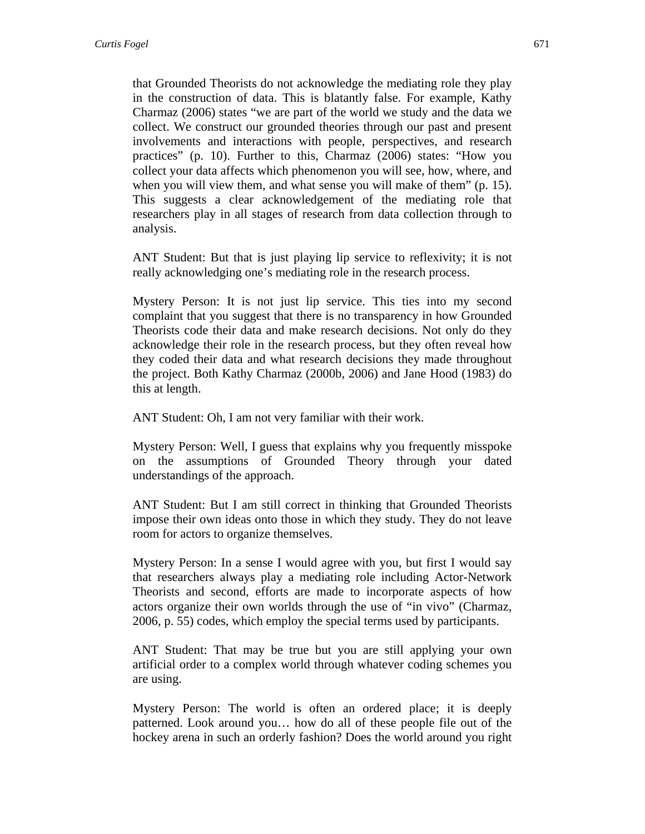that Grounded Theorists do not acknowledge the mediating role they play in the construction of data. This is blatantly false. For example, Kathy Charmaz (2006) states "we are part of the world we study and the data we collect. We construct our grounded theories through our past and present involvements and interactions with people, perspectives, and research practices" (p. 10). Further to this, Charmaz (2006) states: "How you collect your data affects which phenomenon you will see, how, where, and when you will view them, and what sense you will make of them" (p. 15). This suggests a clear acknowledgement of the mediating role that researchers play in all stages of research from data collection through to analysis.

ANT Student: But that is just playing lip service to reflexivity; it is not really acknowledging one's mediating role in the research process.

Mystery Person: It is not just lip service. This ties into my second complaint that you suggest that there is no transparency in how Grounded Theorists code their data and make research decisions. Not only do they acknowledge their role in the research process, but they often reveal how they coded their data and what research decisions they made throughout the project. Both Kathy Charmaz (2000b, 2006) and Jane Hood (1983) do this at length.

ANT Student: Oh, I am not very familiar with their work.

Mystery Person: Well, I guess that explains why you frequently misspoke on the assumptions of Grounded Theory through your dated understandings of the approach.

ANT Student: But I am still correct in thinking that Grounded Theorists impose their own ideas onto those in which they study. They do not leave room for actors to organize themselves.

Mystery Person: In a sense I would agree with you, but first I would say that researchers always play a mediating role including Actor-Network Theorists and second, efforts are made to incorporate aspects of how actors organize their own worlds through the use of "in vivo" (Charmaz, 2006, p. 55) codes, which employ the special terms used by participants.

ANT Student: That may be true but you are still applying your own artificial order to a complex world through whatever coding schemes you are using.

Mystery Person: The world is often an ordered place; it is deeply patterned. Look around you… how do all of these people file out of the hockey arena in such an orderly fashion? Does the world around you right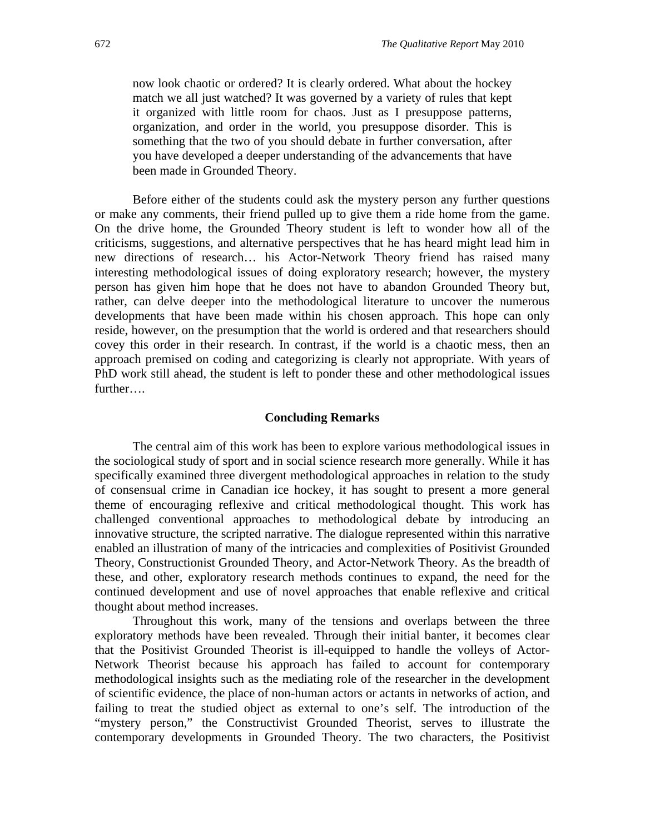now look chaotic or ordered? It is clearly ordered. What about the hockey match we all just watched? It was governed by a variety of rules that kept it organized with little room for chaos. Just as I presuppose patterns, organization, and order in the world, you presuppose disorder. This is something that the two of you should debate in further conversation, after you have developed a deeper understanding of the advancements that have been made in Grounded Theory.

Before either of the students could ask the mystery person any further questions or make any comments, their friend pulled up to give them a ride home from the game. On the drive home, the Grounded Theory student is left to wonder how all of the criticisms, suggestions, and alternative perspectives that he has heard might lead him in new directions of research… his Actor-Network Theory friend has raised many interesting methodological issues of doing exploratory research; however, the mystery person has given him hope that he does not have to abandon Grounded Theory but, rather, can delve deeper into the methodological literature to uncover the numerous developments that have been made within his chosen approach. This hope can only reside, however, on the presumption that the world is ordered and that researchers should covey this order in their research. In contrast, if the world is a chaotic mess, then an approach premised on coding and categorizing is clearly not appropriate. With years of PhD work still ahead, the student is left to ponder these and other methodological issues further….

#### **Concluding Remarks**

The central aim of this work has been to explore various methodological issues in the sociological study of sport and in social science research more generally. While it has specifically examined three divergent methodological approaches in relation to the study of consensual crime in Canadian ice hockey, it has sought to present a more general theme of encouraging reflexive and critical methodological thought. This work has challenged conventional approaches to methodological debate by introducing an innovative structure, the scripted narrative. The dialogue represented within this narrative enabled an illustration of many of the intricacies and complexities of Positivist Grounded Theory, Constructionist Grounded Theory, and Actor-Network Theory. As the breadth of these, and other, exploratory research methods continues to expand, the need for the continued development and use of novel approaches that enable reflexive and critical thought about method increases.

Throughout this work, many of the tensions and overlaps between the three exploratory methods have been revealed. Through their initial banter, it becomes clear that the Positivist Grounded Theorist is ill-equipped to handle the volleys of Actor-Network Theorist because his approach has failed to account for contemporary methodological insights such as the mediating role of the researcher in the development of scientific evidence, the place of non-human actors or actants in networks of action, and failing to treat the studied object as external to one's self. The introduction of the "mystery person," the Constructivist Grounded Theorist, serves to illustrate the contemporary developments in Grounded Theory. The two characters, the Positivist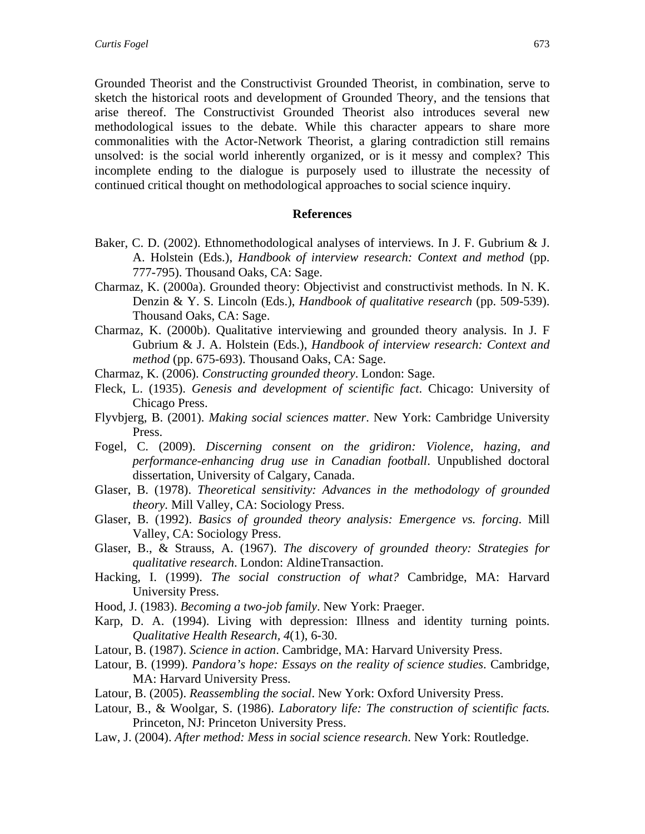Grounded Theorist and the Constructivist Grounded Theorist, in combination, serve to sketch the historical roots and development of Grounded Theory, and the tensions that arise thereof. The Constructivist Grounded Theorist also introduces several new methodological issues to the debate. While this character appears to share more commonalities with the Actor-Network Theorist, a glaring contradiction still remains unsolved: is the social world inherently organized, or is it messy and complex? This incomplete ending to the dialogue is purposely used to illustrate the necessity of continued critical thought on methodological approaches to social science inquiry.

#### **References**

- Baker, C. D. (2002). Ethnomethodological analyses of interviews. In J. F. Gubrium & J. A. Holstein (Eds.), *Handbook of interview research: Context and method* (pp. 777-795). Thousand Oaks, CA: Sage.
- Charmaz, K. (2000a). Grounded theory: Objectivist and constructivist methods. In N. K. Denzin & Y. S. Lincoln (Eds.), *Handbook of qualitative research* (pp. 509-539). Thousand Oaks, CA: Sage.
- Charmaz, K. (2000b). Qualitative interviewing and grounded theory analysis. In J. F Gubrium & J. A. Holstein (Eds.), *Handbook of interview research: Context and method* (pp. 675-693). Thousand Oaks, CA: Sage.
- Charmaz, K. (2006). *Constructing grounded theory*. London: Sage.
- Fleck, L. (1935). *Genesis and development of scientific fact*. Chicago: University of Chicago Press.
- Flyvbjerg, B. (2001). *Making social sciences matter*. New York: Cambridge University Press.
- Fogel, C. (2009). *Discerning consent on the gridiron: Violence, hazing, and performance-enhancing drug use in Canadian football*. Unpublished doctoral dissertation, University of Calgary, Canada.
- Glaser, B. (1978). *Theoretical sensitivity: Advances in the methodology of grounded theory.* Mill Valley, CA: Sociology Press.
- Glaser, B. (1992). *Basics of grounded theory analysis: Emergence vs. forcing*. Mill Valley, CA: Sociology Press.
- Glaser, B., & Strauss, A. (1967). *The discovery of grounded theory: Strategies for qualitative research*. London: AldineTransaction.
- Hacking, I. (1999). *The social construction of what?* Cambridge, MA: Harvard University Press.
- Hood, J. (1983). *Becoming a two-job family*. New York: Praeger.
- Karp, D. A. (1994). Living with depression: Illness and identity turning points. *Qualitative Health Research, 4*(1), 6-30.
- Latour, B. (1987). *Science in action*. Cambridge, MA: Harvard University Press.
- Latour, B. (1999). *Pandora's hope: Essays on the reality of science studies*. Cambridge, MA: Harvard University Press.
- Latour, B. (2005). *Reassembling the social*. New York: Oxford University Press.
- Latour, B., & Woolgar, S. (1986). *Laboratory life: The construction of scientific facts.* Princeton, NJ: Princeton University Press.
- Law, J. (2004). *After method: Mess in social science research*. New York: Routledge.